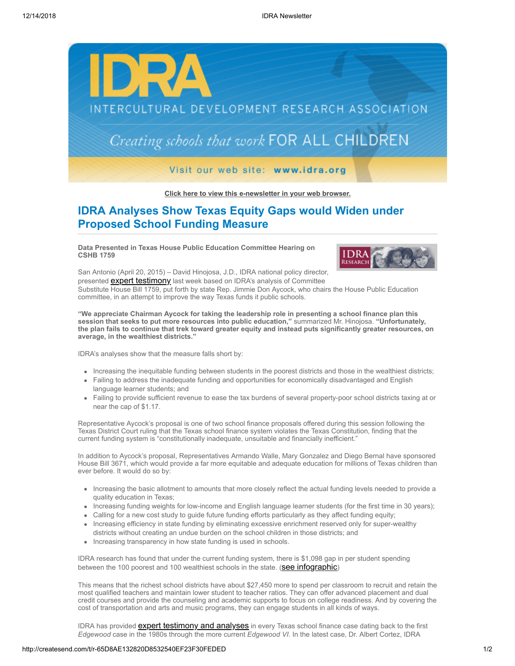

**[Click here to view this e-newsletter in your web browser.](http://newsletter.impulsedevelopment.com/t/r-e-quhkuut-l-r/)**

## **IDRA Analyses Show Texas Equity Gaps would Widen under Proposed School Funding Measure**

**Data Presented in Texas House Public Education Committee Hearing on CSHB 1759**



San Antonio (April 20, 2015) – David Hinojosa, J.D., IDRA national policy director, presented **[expert testimony](http://idra.createsend1.com/t/r-l-quhkuut-l-i/)** last week based on IDRA's analysis of Committee Substitute House Bill 1759, put forth by state Rep. Jimmie Don Aycock, who chairs the House Public Education committee, in an attempt to improve the way Texas funds it public schools.

**"We appreciate Chairman Aycock for taking the leadership role in presenting a school finance plan this session that seeks to put more resources into public education,"** summarized Mr. Hinojosa. **"Unfortunately, the plan fails to continue that trek toward greater equity and instead puts significantly greater resources, on average, in the wealthiest districts."**

IDRA's analyses show that the measure falls short by:

- Increasing the inequitable funding between students in the poorest districts and those in the wealthiest districts;
- Failing to address the inadequate funding and opportunities for economically disadvantaged and English language learner students; and
- Failing to provide sufficient revenue to ease the tax burdens of several property-poor school districts taxing at or near the cap of \$1.17.

Representative Aycock's proposal is one of two school finance proposals offered during this session following the Texas District Court ruling that the Texas school finance system violates the Texas Constitution, finding that the current funding system is "constitutionally inadequate, unsuitable and financially inefficient."

In addition to Aycock's proposal, Representatives Armando Walle, Mary Gonzalez and Diego Bernal have sponsored House Bill 3671, which would provide a far more equitable and adequate education for millions of Texas children than ever before. It would do so by:

- Increasing the basic allotment to amounts that more closely reflect the actual funding levels needed to provide a quality education in Texas;
- Increasing funding weights for low-income and English language learner students (for the first time in 30 years);
- Calling for a new cost study to guide future funding efforts particularly as they affect funding equity;
- Increasing efficiency in state funding by eliminating excessive enrichment reserved only for super-wealthy districts without creating an undue burden on the school children in those districts; and
- Increasing transparency in how state funding is used in schools.

IDRA research has found that under the current funding system, there is \$1,098 gap in per student spending between the 100 poorest and 100 wealthiest schools in the state. (**[see infographic](http://idra.createsend1.com/t/r-l-quhkuut-l-d/)**)

This means that the richest school districts have about \$27,450 more to spend per classroom to recruit and retain the most qualified teachers and maintain lower student to teacher ratios. They can offer advanced placement and dual credit courses and provide the counseling and academic supports to focus on college readiness. And by covering the cost of transportation and arts and music programs, they can engage students in all kinds of ways.

IDRA has provided **[expert testimony and analyses](http://idra.createsend1.com/t/r-l-quhkuut-l-o/)** in every Texas school finance case dating back to the first *Edgewood* case in the 1980s through the more current *Edgewood VI*. In the latest case, Dr. Albert Cortez, IDRA